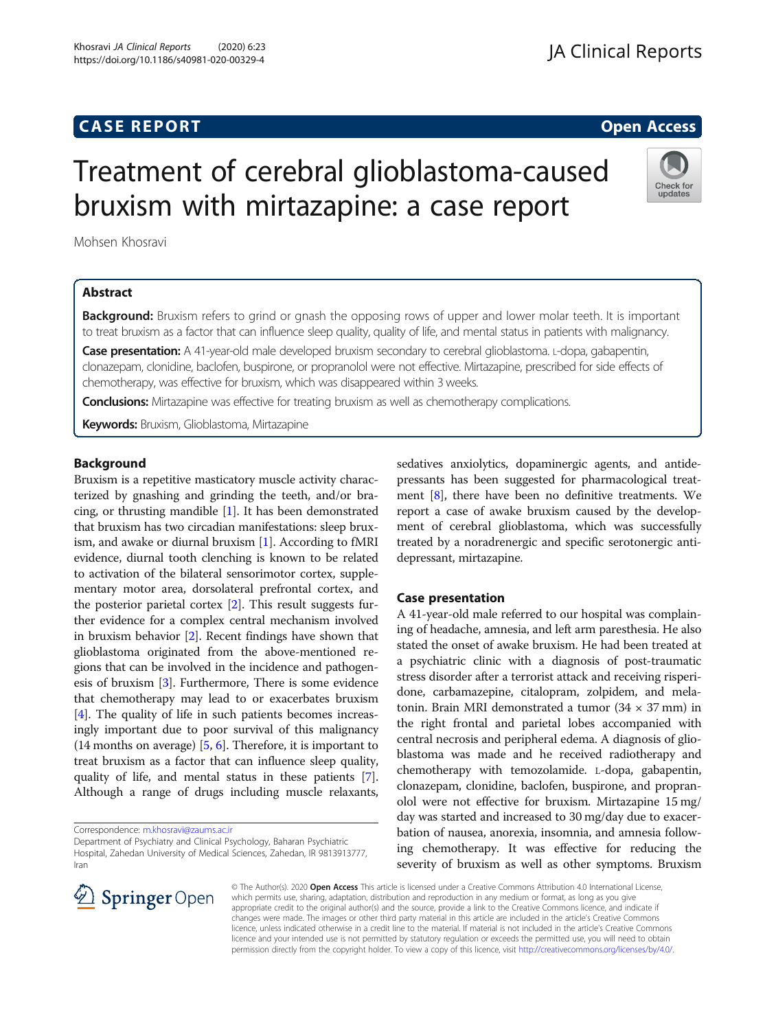# Treatment of cerebral glioblastoma-caused bruxism with mirtazapine: a case report

Mohsen Khosravi

## Abstract

Background: Bruxism refers to grind or gnash the opposing rows of upper and lower molar teeth. It is important to treat bruxism as a factor that can influence sleep quality, quality of life, and mental status in patients with malignancy.

Case presentation: A 41-year-old male developed bruxism secondary to cerebral glioblastoma. L-dopa, gabapentin, clonazepam, clonidine, baclofen, buspirone, or propranolol were not effective. Mirtazapine, prescribed for side effects of chemotherapy, was effective for bruxism, which was disappeared within 3 weeks.

**Conclusions:** Mirtazapine was effective for treating bruxism as well as chemotherapy complications.

Keywords: Bruxism, Glioblastoma, Mirtazapine

## Background

Bruxism is a repetitive masticatory muscle activity characterized by gnashing and grinding the teeth, and/or bracing, or thrusting mandible [[1\]](#page-1-0). It has been demonstrated that bruxism has two circadian manifestations: sleep bruxism, and awake or diurnal bruxism [[1](#page-1-0)]. According to fMRI evidence, diurnal tooth clenching is known to be related to activation of the bilateral sensorimotor cortex, supplementary motor area, dorsolateral prefrontal cortex, and the posterior parietal cortex [[2](#page-1-0)]. This result suggests further evidence for a complex central mechanism involved in bruxism behavior [[2\]](#page-1-0). Recent findings have shown that glioblastoma originated from the above-mentioned regions that can be involved in the incidence and pathogenesis of bruxism [[3\]](#page-1-0). Furthermore, There is some evidence that chemotherapy may lead to or exacerbates bruxism [[4\]](#page-1-0). The quality of life in such patients becomes increasingly important due to poor survival of this malignancy (14 months on average) [\[5,](#page-1-0) [6](#page-1-0)]. Therefore, it is important to treat bruxism as a factor that can influence sleep quality, quality of life, and mental status in these patients [[7](#page-1-0)]. Although a range of drugs including muscle relaxants,

Correspondence: [m.khosravi@zaums.ac.ir](mailto:m.khosravi@zaums.ac.ir) Department of Psychiatry and Clinical Psychology, Baharan Psychiatric Hospital, Zahedan University of Medical Sciences, Zahedan, IR 9813913777, Iran

sedatives anxiolytics, dopaminergic agents, and antidepressants has been suggested for pharmacological treatment [\[8\]](#page-1-0), there have been no definitive treatments. We report a case of awake bruxism caused by the development of cerebral glioblastoma, which was successfully treated by a noradrenergic and specific serotonergic antidepressant, mirtazapine.

## Case presentation

A 41-year-old male referred to our hospital was complaining of headache, amnesia, and left arm paresthesia. He also stated the onset of awake bruxism. He had been treated at a psychiatric clinic with a diagnosis of post-traumatic stress disorder after a terrorist attack and receiving risperidone, carbamazepine, citalopram, zolpidem, and melatonin. Brain MRI demonstrated a tumor  $(34 \times 37 \text{ mm})$  in the right frontal and parietal lobes accompanied with central necrosis and peripheral edema. A diagnosis of glioblastoma was made and he received radiotherapy and chemotherapy with temozolamide. L-dopa, gabapentin, clonazepam, clonidine, baclofen, buspirone, and propranolol were not effective for bruxism. Mirtazapine 15 mg/ day was started and increased to 30 mg/day due to exacerbation of nausea, anorexia, insomnia, and amnesia following chemotherapy. It was effective for reducing the severity of bruxism as well as other symptoms. Bruxism

© The Author(s). 2020 Open Access This article is licensed under a Creative Commons Attribution 4.0 International License, which permits use, sharing, adaptation, distribution and reproduction in any medium or format, as long as you give appropriate credit to the original author(s) and the source, provide a link to the Creative Commons licence, and indicate if changes were made. The images or other third party material in this article are included in the article's Creative Commons licence, unless indicated otherwise in a credit line to the material. If material is not included in the article's Creative Commons licence and your intended use is not permitted by statutory regulation or exceeds the permitted use, you will need to obtain permission directly from the copyright holder. To view a copy of this licence, visit <http://creativecommons.org/licenses/by/4.0/>.